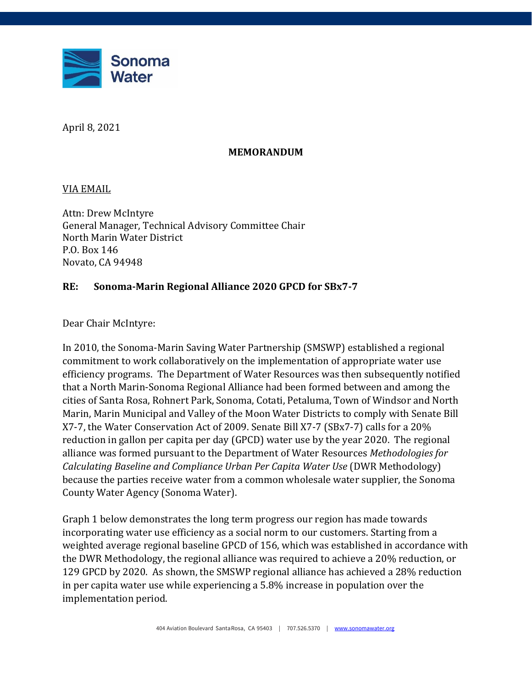

April 8, 2021

## **MEMORANDUM**

VIA EMAIL

Attn: Drew McIntyre General Manager, Technical Advisory Committee Chair North Marin Water District P.O. Box 146 Novato, CA 94948

## **RE: Sonoma-Marin Regional Alliance 2020 GPCD for SBx7-7**

Dear Chair McIntyre:

In 2010, the Sonoma-Marin Saving Water Partnership (SMSWP) established a regional commitment to work collaboratively on the implementation of appropriate water use efficiency programs. The Department of Water Resources was then subsequently notified that a North Marin-Sonoma Regional Alliance had been formed between and among the cities of Santa Rosa, Rohnert Park, Sonoma, Cotati, Petaluma, Town of Windsor and North Marin, Marin Municipal and Valley of the Moon Water Districts to comply with Senate Bill X7-7, the Water Conservation Act of 2009. Senate Bill X7-7 (SBx7-7) calls for a 20% reduction in gallon per capita per day (GPCD) water use by the year 2020. The regional alliance was formed pursuant to the Department of Water Resources *Methodologies for Calculating Baseline and Compliance Urban Per Capita Water Use* (DWR Methodology) because the parties receive water from a common wholesale water supplier, the Sonoma County Water Agency (Sonoma Water).

Graph 1 below demonstrates the long term progress our region has made towards incorporating water use efficiency as a social norm to our customers. Starting from a weighted average regional baseline GPCD of 156, which was established in accordance with the DWR Methodology, the regional alliance was required to achieve a 20% reduction, or 129 GPCD by 2020. As shown, the SMSWP regional alliance has achieved a 28% reduction in per capita water use while experiencing a 5.8% increase in population over the implementation period.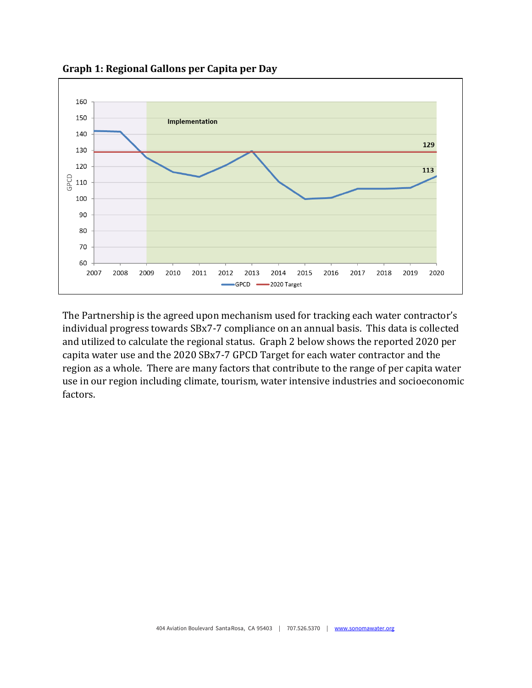

**Graph 1: Regional Gallons per Capita per Day**

The Partnership is the agreed upon mechanism used for tracking each water contractor's individual progress towards SBx7-7 compliance on an annual basis. This data is collected and utilized to calculate the regional status. Graph 2 below shows the reported 2020 per capita water use and the 2020 SBx7-7 GPCD Target for each water contractor and the region as a whole. There are many factors that contribute to the range of per capita water use in our region including climate, tourism, water intensive industries and socioeconomic factors.